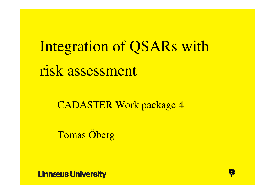Integration of QSARs with risk assessment

CADASTER Work package 4

Tomas Öberg

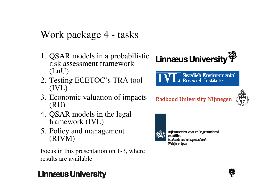# Work package 4 - tasks

- 1. QSAR models in a probabilistic risk assessment framework (LnU)
- 2. Testing ECETOC's TRA tool (IVL)
- 3. Economic valuation of impacts (RU)
- 4. QSAR models in the legal framework (IVL)
- 5. Policy and management (RIVM)

Focus in this presentation on 1-3, where results are available

# **Linnaeus University**





### **Radboud University Nijmegen**





Rijksinstituut voor Volksgezondheid en Milieu Ministerie van Volksgezondheid, Welzijn en Sport

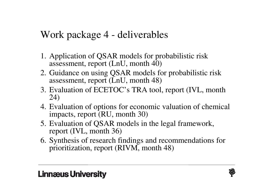# Work package 4 - deliverables

- 1. Application of QSAR models for probabilistic riskassessment, report (LnU, month 40)
- 2. Guidance on using QSAR models for probabilistic risk assessment, report (LnU, month 48)
- 3. Evaluation of ECETOC's TRA tool, report (IVL, month 24)
- 4. Evaluation of options for economic valuation of chemical impacts, report (RU, month 30)
- 5. Evaluation of QSAR models in the legal framework, report (IVL, month 36)
- 6. Synthesis of research findings and recommendations for prioritization, report (RIVM, month 48)

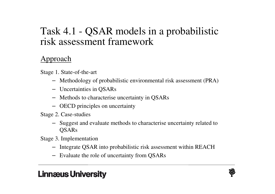## Task 4.1 - QSAR models in a probabilistic risk assessment framework

#### Approach

Stage 1. State-of-the-art

- Methodology of probabilistic environmental risk assessment (PRA)
- Uncertainties in QSARs
- Methods to characterise uncertainty in QSARs
- OECD principles on uncertainty

Stage 2. Case-studies

- Suggest and evaluate methods to characterise uncertainty related to **OSARs**
- Stage 3. Implementation
	- Integrate QSAR into probabilistic risk assessment within REACH
	- Evaluate the role of uncertainty from QSARs

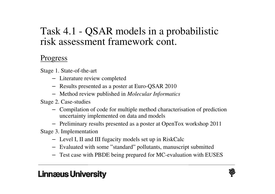## Task 4.1 - QSAR models in a probabilistic risk assessment framework cont.

#### **Progress**

Stage 1. State-of-the-art

- Literature review completed
- Results presented as a poster at Euro-QSAR 2010
- Method review published in *Molecular Informatics*

Stage 2. Case-studies

- Compilation of code for multiple method characterisation of prediction uncertainty implemented on data and models
- Preliminary results presented as a poster at OpenTox workshop 2011

Stage 3. Implementation

- Level I, II and III fugacity models set up in RiskCalc
- Evaluated with some "standard" pollutants, manuscript submitted
- Test case with PBDE being prepared for MC-evaluation with EUSES

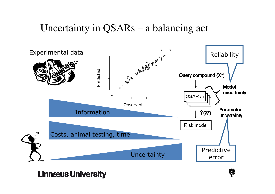## Uncertainty in QSARs – a balancing act



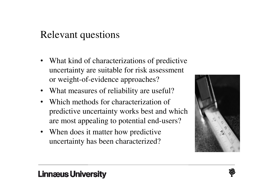## Relevant questions

- What kind of characterizations of predictive uncertainty are suitable for risk assessment or weight-of-evidence approaches?
- What measures of reliability are useful?
- • Which methods for characterization of predictive uncertainty works best and which are most appealing to potential end-users?
- When does it matter how predictive uncertainty has been characterized?





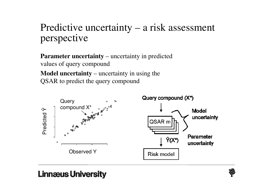# Predictive uncertainty – a risk assessment perspective

**Parameter uncertainty** – uncertainty in predicted values of query compound**Model uncertainty** – uncertainty in using the QSAR to predict the query compound



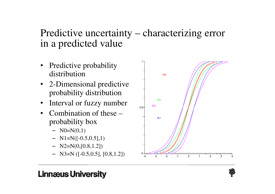## Predictive uncertainty – characterizing error in a predicted value

- Predictive probability distribution
- 2-Dimensional predictive probability distribution
- $\bullet$ Interval or fuzzy number
- Combination of these probability box
	- $-$  N0=N(0,1)
	- $-$  N1=N([-0.5,0.5],1)
	- $-$  N2=N(0,[0.8,1.2])
	-



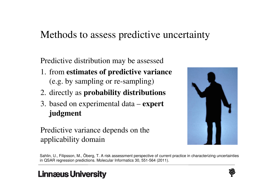## Methods to assess predictive uncertainty

Predictive distribution may be assessed

- 1. from **estimates of predictive variance**(e.g. by sampling or re-sampling)
- 2. directly as **probability distributions**
- 3. based on experimental data **expert judgment**

#### Predictive variance depends on the applicability domain



Sahlin, U., Filipsson, M., Öberg, T. A risk assessment perspective of current practice in characterizing uncertainties in QSAR regression predictions. Molecular Informatics 30, 551-564 (2011).

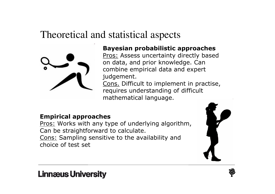## Theoretical and statistical aspects



#### Bayesian probabilistic approaches

Pros: Assess uncertainty directly based on data, and prior knowledge. Can combine empirical data and expert judgement.

Cons. Difficult to implement in practise, requires understanding of difficult mathematical language.

#### Empirical approaches

Pros: Works with any type of underlying algorithm, Can be straightforward to calculate.Cons: Sampling sensitive to the availability and choice of test set





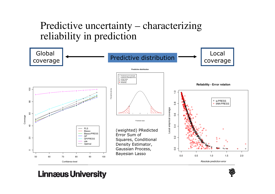## Predictive uncertainty – characterizing reliability in prediction



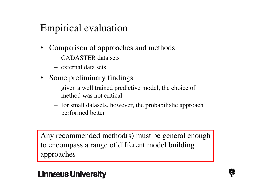# Empirical evaluation

- • Comparison of approaches and methods
	- CADASTER data sets
	- external data sets
- Some preliminary findings
	- <sup>g</sup>iven a well trained predictive model, the choice of method was not critical
	- for small datasets, however, the probabilistic approach performed better

Any recommended method(s) must be general enoughto encompass a range of different model building approaches

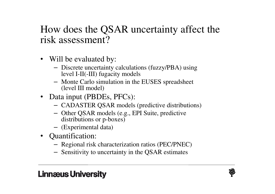## How does the QSAR uncertainty affect the risk assessment?

- Will be evaluated by:
	- Discrete uncertainty calculations (fuzzy/PBA) using level I-II(-III) fugacity models
	- Monte Carlo simulation in the EUSES spreadsheet (level III model)
- Data input (PBDEs, PFCs):
	- CADASTER QSAR models (predictive distributions)
	- Other QSAR models (e.g., EPI Suite, predictive distributions or p-boxes)
	- (Experimental data)
- Quantification:
	- Regional risk characterization ratios (PEC/PNEC)
	- Sensitivity to uncertainty in the QSAR estimates

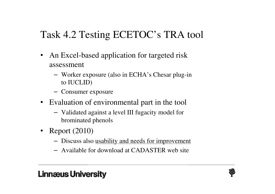# Task 4.2 Testing ECETOC's TRA tool

- An Excel-based application for targeted risk assessment
	- Worker exposure (also in ECHA's Chesar plug-in to IUCLID)
	- Consumer exposure
- Evaluation of environmental part in the tool
	- Validated against a level III fugacity model for brominated phenols
- Report (2010)
	- Discuss also <u>usability and needs for improvement</u>
	- Available for download at CADASTER web site

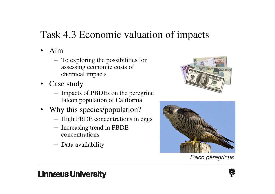# Task 4.3 Economic valuation of impacts

- $\bullet$  Aim
	- To exploring the possibilities for assessing economic costs of chemical impacts
- Case study
	- Impacts of PBDEs on the peregrine falcon population of California
- Why this species/population?
	- High PBDE concentrations in eggs
	- Increasing trend in PBDE concentrations
	- Data availability





Falco peregrinus

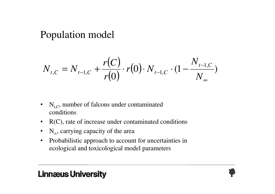Population model

$$
N_{t,C} = N_{t-1,C} + \frac{r(C)}{r(0)} \cdot r(0) \cdot N_{t-1,C} \cdot (1 - \frac{N_{t-1,C}}{N_{\infty}})
$$

- $N_{t,C}$ , number of falcons under contaminated conditions
- $\bullet$ R(C), rate of increase under contaminated conditions
- $\bullet$  $N_{\infty}$ , carrying capacity of the area
- $\bullet$  Probabilistic approach to account for uncertainties in ecological and toxicological model parameters

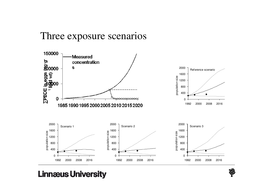### Three exposure scenarios



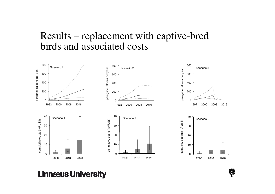## Results – replacement with captive-bred birds and associated costs



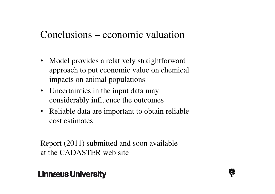## Conclusions – economic valuation

- Model provides a relatively straightforward approach to put economic value on chemical impacts on animal populations
- Uncertainties in the input data may considerably influence the outcomes
- Reliable data are important to obtain reliable cost estimates

Report (2011) submitted and soon availableat the CADASTER web site

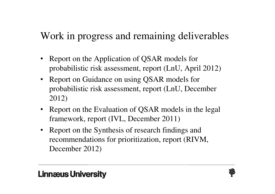# Work in progress and remaining deliverables

- Report on the Application of QSAR models for probabilistic risk assessment, report (LnU, April 2012)
- Report on Guidance on using QSAR models for probabilistic risk assessment, report (LnU, December 2012)
- Report on the Evaluation of QSAR models in the legal framework, report (IVL, December 2011)
- Report on the Synthesis of research findings and recommendations for prioritization, report (RIVM, December 2012)